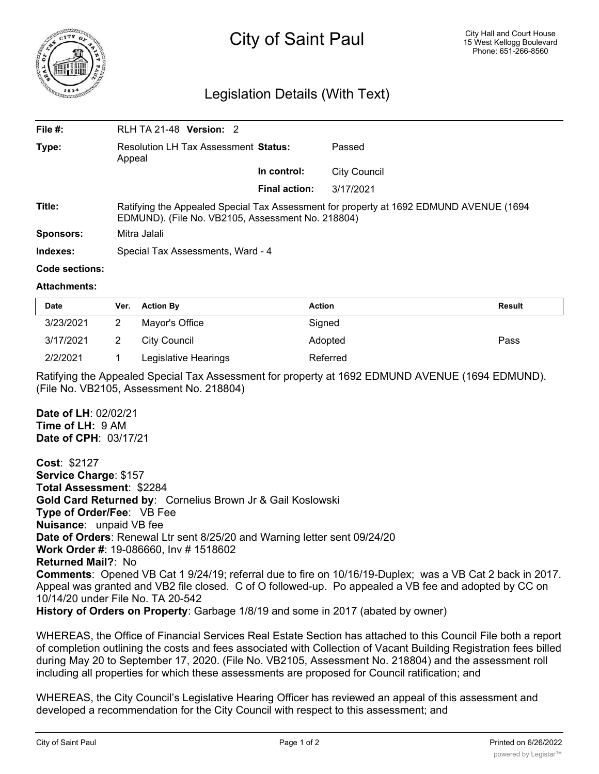

## Legislation Details (With Text)

| File $#$ :     | <b>RLH TA 21-48 Version: 2</b>                                                                                                              |               |                     |  |  |
|----------------|---------------------------------------------------------------------------------------------------------------------------------------------|---------------|---------------------|--|--|
| Type:          | Resolution LH Tax Assessment Status:<br>Appeal                                                                                              |               | Passed              |  |  |
|                |                                                                                                                                             | In control:   | <b>City Council</b> |  |  |
|                |                                                                                                                                             | Final action: | 3/17/2021           |  |  |
| Title:         | Ratifying the Appealed Special Tax Assessment for property at 1692 EDMUND AVENUE (1694<br>EDMUND). (File No. VB2105, Assessment No. 218804) |               |                     |  |  |
| Sponsors:      | Mitra Jalali                                                                                                                                |               |                     |  |  |
| Indexes:       | Special Tax Assessments, Ward - 4                                                                                                           |               |                     |  |  |
| Code sections: |                                                                                                                                             |               |                     |  |  |

## **Attachments:**

| <b>Date</b> | Ver. | <b>Action By</b>     | <b>Action</b> | <b>Result</b> |
|-------------|------|----------------------|---------------|---------------|
| 3/23/2021   |      | Mayor's Office       | Signed        |               |
| 3/17/2021   |      | City Council         | Adopted       | Pass          |
| 2/2/2021    |      | Legislative Hearings | Referred      |               |

Ratifying the Appealed Special Tax Assessment for property at 1692 EDMUND AVENUE (1694 EDMUND). (File No. VB2105, Assessment No. 218804)

## **Date of LH**: 02/02/21 **Time of LH:** 9 AM **Date of CPH**: 03/17/21

**Cost**: \$2127 **Service Charge**: \$157 **Total Assessment**: \$2284 **Gold Card Returned by**: Cornelius Brown Jr & Gail Koslowski **Type of Order/Fee**: VB Fee **Nuisance**: unpaid VB fee **Date of Orders**: Renewal Ltr sent 8/25/20 and Warning letter sent 09/24/20 **Work Order #**: 19-086660, Inv # 1518602 **Returned Mail?**: No **Comments**: Opened VB Cat 1 9/24/19; referral due to fire on 10/16/19-Duplex; was a VB Cat 2 back in 2017. Appeal was granted and VB2 file closed. C of O followed-up. Po appealed a VB fee and adopted by CC on 10/14/20 under File No. TA 20-542 **History of Orders on Property**: Garbage 1/8/19 and some in 2017 (abated by owner)

WHEREAS, the Office of Financial Services Real Estate Section has attached to this Council File both a report of completion outlining the costs and fees associated with Collection of Vacant Building Registration fees billed during May 20 to September 17, 2020. (File No. VB2105, Assessment No. 218804) and the assessment roll including all properties for which these assessments are proposed for Council ratification; and

WHEREAS, the City Council's Legislative Hearing Officer has reviewed an appeal of this assessment and developed a recommendation for the City Council with respect to this assessment; and